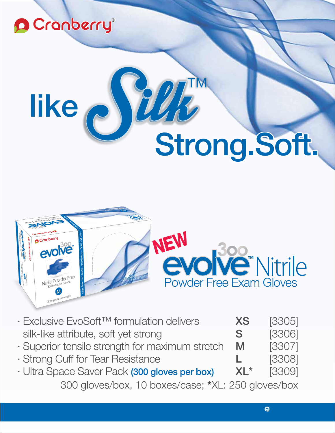



| . Exclusive EvoSoft™ formulation delivers       | <b>XS</b> | [3305] |
|-------------------------------------------------|-----------|--------|
| silk-like attribute, soft yet strong            | S.        | [3306] |
| · Superior tensile strength for maximum stretch | M         | [3307] |
| · Strong Cuff for Tear Resistance               |           | [3308] |
| · Ultra Space Saver Pack (300 gloves per box)   | $XL^*$    | [3309] |
|                                                 |           |        |

300 gloves/box, 10 boxes/case; \*XL: 250 gloves/box